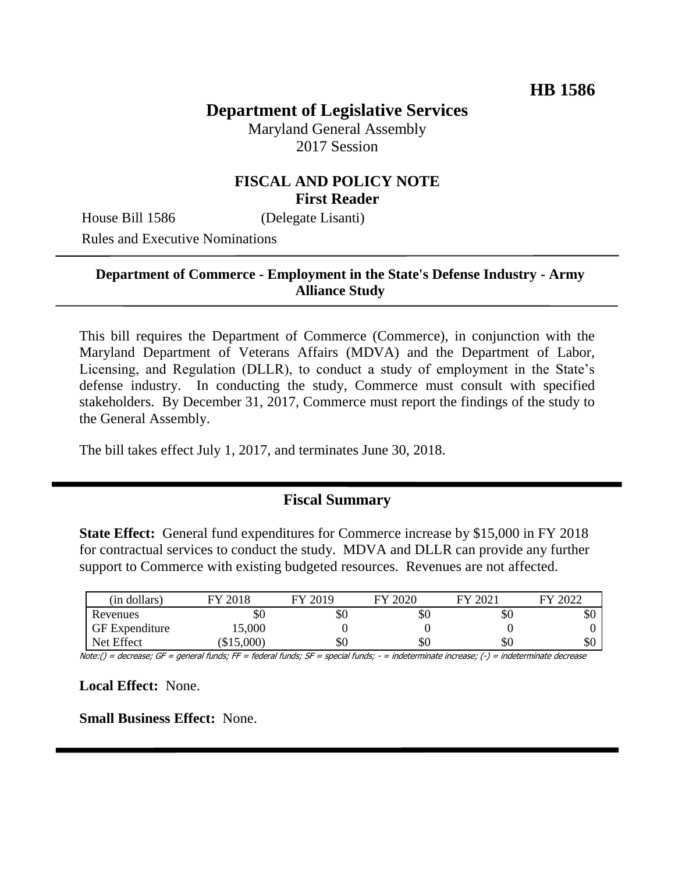# **Department of Legislative Services**

Maryland General Assembly 2017 Session

### **FISCAL AND POLICY NOTE First Reader**

House Bill 1586 (Delegate Lisanti) Rules and Executive Nominations

### **Department of Commerce - Employment in the State's Defense Industry - Army Alliance Study**

This bill requires the Department of Commerce (Commerce), in conjunction with the Maryland Department of Veterans Affairs (MDVA) and the Department of Labor, Licensing, and Regulation (DLLR), to conduct a study of employment in the State's defense industry. In conducting the study, Commerce must consult with specified stakeholders. By December 31, 2017, Commerce must report the findings of the study to the General Assembly.

The bill takes effect July 1, 2017, and terminates June 30, 2018.

#### **Fiscal Summary**

**State Effect:** General fund expenditures for Commerce increase by \$15,000 in FY 2018 for contractual services to conduct the study. MDVA and DLLR can provide any further support to Commerce with existing budgeted resources. Revenues are not affected.

| (in dollars)          | FY 2018  | FY 2019 | EV 2020 | FY 2021 | 2022<br>FV |
|-----------------------|----------|---------|---------|---------|------------|
| Revenues              | \$0      | \$0     | \$0     | ъU      | \$0        |
| <b>GF</b> Expenditure | 15,000   |         |         |         |            |
| Net Effect            | \$15,000 | \$0     | \$0     | SC      | \$0        |

Note:() = decrease; GF = general funds; FF = federal funds; SF = special funds; - = indeterminate increase; (-) = indeterminate decrease

**Local Effect:** None.

**Small Business Effect:** None.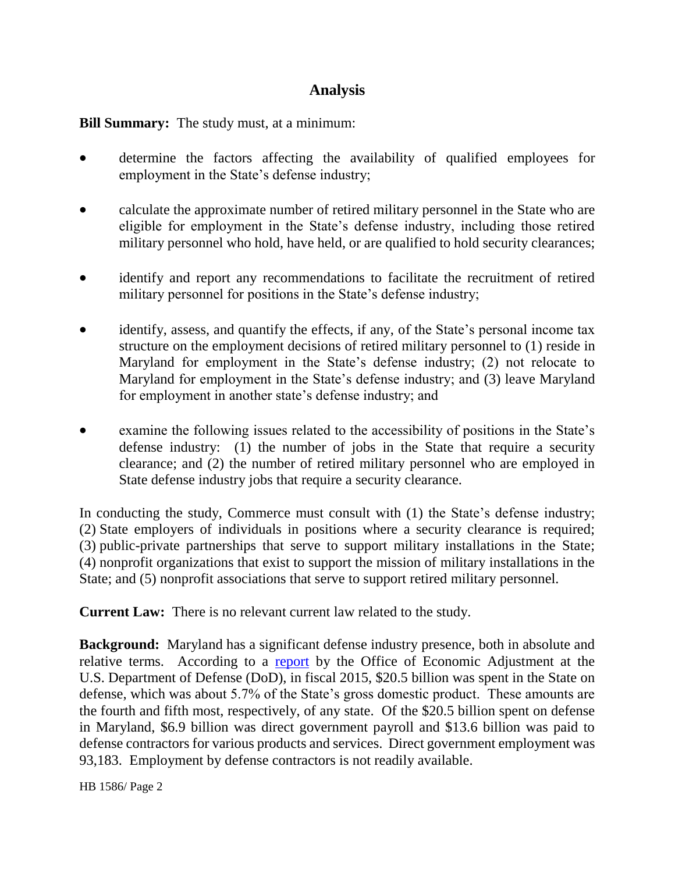# **Analysis**

**Bill Summary:** The study must, at a minimum:

- determine the factors affecting the availability of qualified employees for employment in the State's defense industry;
- calculate the approximate number of retired military personnel in the State who are eligible for employment in the State's defense industry, including those retired military personnel who hold, have held, or are qualified to hold security clearances;
- identify and report any recommendations to facilitate the recruitment of retired military personnel for positions in the State's defense industry;
- identify, assess, and quantify the effects, if any, of the State's personal income tax structure on the employment decisions of retired military personnel to (1) reside in Maryland for employment in the State's defense industry; (2) not relocate to Maryland for employment in the State's defense industry; and (3) leave Maryland for employment in another state's defense industry; and
- examine the following issues related to the accessibility of positions in the State's defense industry: (1) the number of jobs in the State that require a security clearance; and (2) the number of retired military personnel who are employed in State defense industry jobs that require a security clearance.

In conducting the study, Commerce must consult with (1) the State's defense industry; (2) State employers of individuals in positions where a security clearance is required; (3) public-private partnerships that serve to support military installations in the State; (4) nonprofit organizations that exist to support the mission of military installations in the State; and (5) nonprofit associations that serve to support retired military personnel.

**Current Law:** There is no relevant current law related to the study.

**Background:** Maryland has a significant defense industry presence, both in absolute and relative terms. According to a [report](http://oea.gov/sites/default/files/files-508/States/Maryland.pdf) by the Office of Economic Adjustment at the U.S. Department of Defense (DoD), in fiscal 2015, \$20.5 billion was spent in the State on defense, which was about 5.7% of the State's gross domestic product. These amounts are the fourth and fifth most, respectively, of any state. Of the \$20.5 billion spent on defense in Maryland, \$6.9 billion was direct government payroll and \$13.6 billion was paid to defense contractors for various products and services. Direct government employment was 93,183. Employment by defense contractors is not readily available.

HB 1586/ Page 2